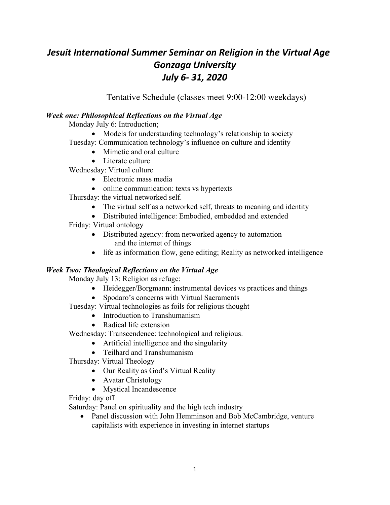# *Jesuit International Summer Seminar on Religion in the Virtual Age Gonzaga University July 6- 31, 2020*

Tentative Schedule (classes meet 9:00-12:00 weekdays)

## *Week one: Philosophical Reflections on the Virtual Age*

Monday July 6: Introduction;

• Models for understanding technology's relationship to society

Tuesday: Communication technology's influence on culture and identity

- Mimetic and oral culture
- Literate culture

Wednesday: Virtual culture

- Electronic mass media
- online communication: texts vs hypertexts

Thursday: the virtual networked self.

- The virtual self as a networked self, threats to meaning and identity
- Distributed intelligence: Embodied, embedded and extended

Friday: Virtual ontology

- Distributed agency: from networked agency to automation and the internet of things
- life as information flow, gene editing; Reality as networked intelligence

## *Week Two: Theological Reflections on the Virtual Age*

Monday July 13: Religion as refuge:

- Heidegger/Borgmann: instrumental devices vs practices and things
- Spodaro's concerns with Virtual Sacraments
- Tuesday: Virtual technologies as foils for religious thought
	- Introduction to Transhumanism
	- Radical life extension

Wednesday: Transcendence: technological and religious.

- Artificial intelligence and the singularity
- Teilhard and Transhumanism

Thursday: Virtual Theology

- Our Reality as God's Virtual Reality
- Avatar Christology
- Mystical Incandescence

## Friday: day off

Saturday: Panel on spirituality and the high tech industry

• Panel discussion with John Hemminson and Bob McCambridge, venture capitalists with experience in investing in internet startups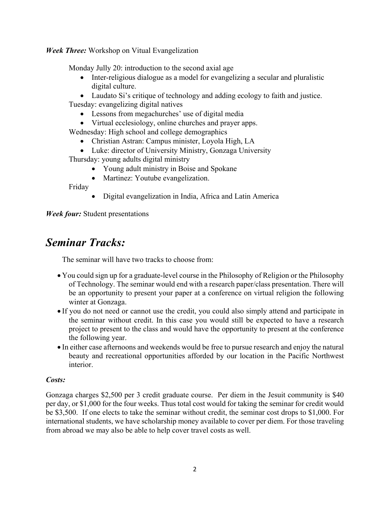*Week Three:* Workshop on Vitual Evangelization

Monday Jully 20: introduction to the second axial age

• Inter-religious dialogue as a model for evangelizing a secular and pluralistic digital culture.

• Laudato Si's critique of technology and adding ecology to faith and justice. Tuesday: evangelizing digital natives

- Lessons from megachurches' use of digital media
- Virtual ecclesiology, online churches and prayer apps.

Wednesday: High school and college demographics

- Christian Astran: Campus minister, Loyola High, LA
- Luke: director of University Ministry, Gonzaga University Thursday: young adults digital ministry
	- Young adult ministry in Boise and Spokane
	- Martinez: Youtube evangelization.

Friday

• Digital evangelization in India, Africa and Latin America

*Week four:* Student presentations

# *Seminar Tracks:*

The seminar will have two tracks to choose from:

- You could sign up for a graduate-level course in the Philosophy of Religion or the Philosophy of Technology. The seminar would end with a research paper/class presentation. There will be an opportunity to present your paper at a conference on virtual religion the following winter at Gonzaga.
- If you do not need or cannot use the credit, you could also simply attend and participate in the seminar without credit. In this case you would still be expected to have a research project to present to the class and would have the opportunity to present at the conference the following year.
- In either case afternoons and weekends would be free to pursue research and enjoy the natural beauty and recreational opportunities afforded by our location in the Pacific Northwest interior.

## *Costs:*

Gonzaga charges \$2,500 per 3 credit graduate course. Per diem in the Jesuit community is \$40 per day, or \$1,000 for the four weeks. Thus total cost would for taking the seminar for credit would be \$3,500. If one elects to take the seminar without credit, the seminar cost drops to \$1,000. For international students, we have scholarship money available to cover per diem. For those traveling from abroad we may also be able to help cover travel costs as well.